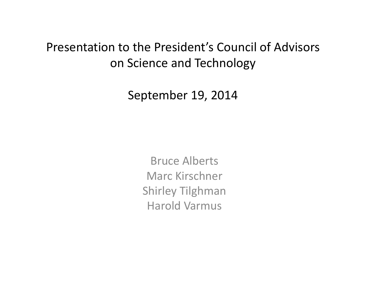### Presentation to the President's Council of Advisors on Science and Technology

September 19, 2014

Bruce Alberts Marc Kirschner Shirley Tilghman Harold Varmus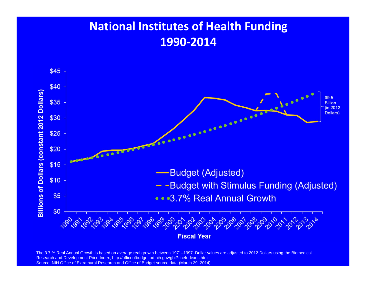### **National Institutes of Health Funding 1990‐2014**



The 3.7 % Real Annual Growth is based on average real growth between 1971–1997. Dollar values are adjusted to 2012 Dollars using the Biomedical Research and Development Price Index, http://officeofbudget.od.nih.gov/gbiPriceIndexes.html. Source: NIH Office of Extramural Research and Office of Budget source data (March 29, 2014)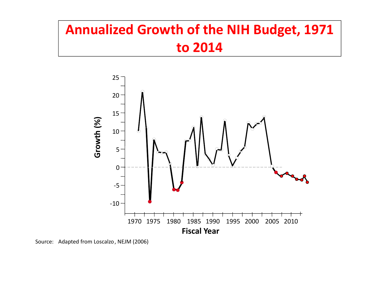# **Annualized Growth of the NIH Budget, 1971 to 2014**



Source: Adapted from Loscalzo, NEJM (2006)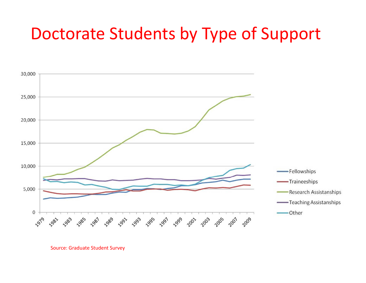# Doctorate Students by Type of Support



Source: Graduate Student Survey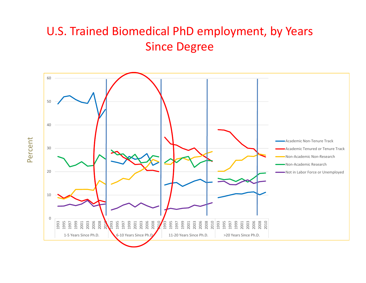#### U.S. Trained Biomedical PhD employment, by Years Since Degree



Percent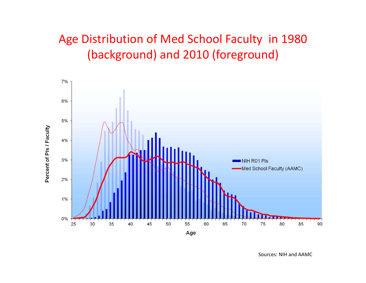## Age Distribution of Med School Faculty in 1980 (background) and 2010 (foreground)



Sources: NIH and AAMC